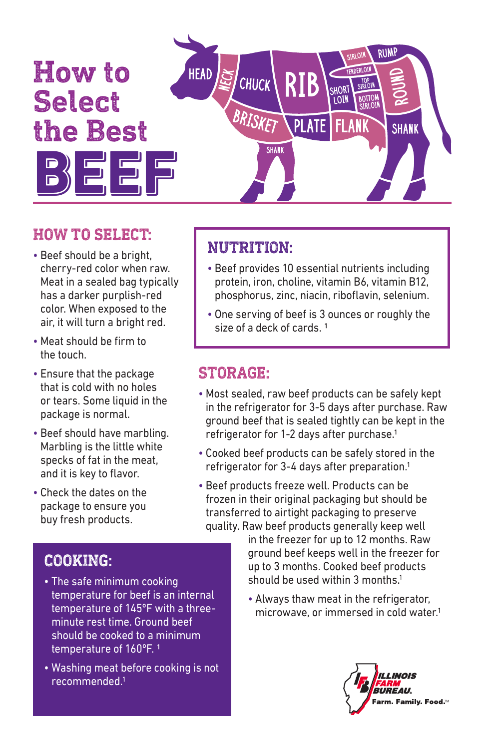

#### **HOW TO SELECT:**

- Beef should be a bright, cherry-red color when raw. Meat in a sealed bag typically has a darker purplish-red color. When exposed to the air, it will turn a bright red.
- Meat should be firm to the touch.
- Ensure that the package that is cold with no holes or tears. Some liquid in the package is normal.
- Beef should have marbling. Marbling is the little white specks of fat in the meat, and it is key to flavor.
- Check the dates on the package to ensure you buy fresh products.

# **NUTRITION:**

- Beef provides 10 essential nutrients including protein, iron, choline, vitamin B6, vitamin B12, phosphorus, zinc, niacin, riboflavin, selenium.
- One serving of beef is 3 ounces or roughly the size of a deck of cards. 1

#### **STORAGE:**

- Most sealed, raw beef products can be safely kept in the refrigerator for 3-5 days after purchase. Raw ground beef that is sealed tightly can be kept in the refrigerator for 1-2 days after purchase.1
- Cooked beef products can be safely stored in the refrigerator for 3-4 days after preparation.1
- Beef products freeze well. Products can be frozen in their original packaging but should be transferred to airtight packaging to preserve quality. Raw beef products generally keep well

in the freezer for up to 12 months. Raw ground beef keeps well in the freezer for up to 3 months. Cooked beef products should be used within 3 months. $1$ 

• Always thaw meat in the refrigerator, microwave, or immersed in cold water.1



### **COOKING:**

- The safe minimum cooking temperature for beef is an internal temperature of 145ºF with a threeminute rest time. Ground beef should be cooked to a minimum temperature of 160°F.<sup>1</sup>
- Washing meat before cooking is not recommended.1